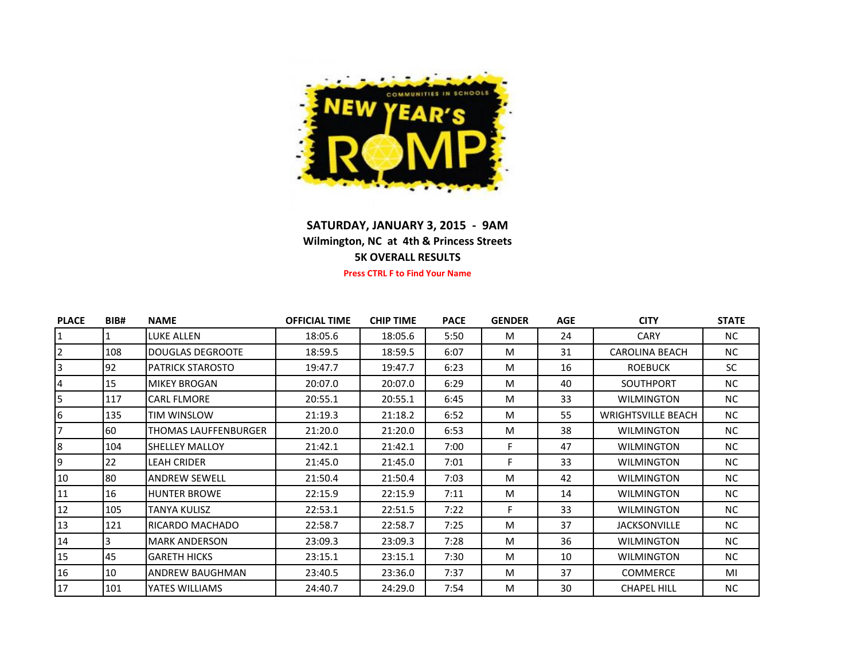

## **SATURDAY, JANUARY 3, 2015 - 9AM Wilmington, NC at 4th & Princess Streets 5K OVERALL RESULTS**

**Press CTRL F to Find Your Name**

| <b>PLACE</b> | BIB# | <b>NAME</b>             | <b>OFFICIAL TIME</b> | <b>CHIP TIME</b> | <b>PACE</b> | <b>GENDER</b> | <b>AGE</b> | <b>CITY</b>               | <b>STATE</b> |
|--------------|------|-------------------------|----------------------|------------------|-------------|---------------|------------|---------------------------|--------------|
|              |      | LUKE ALLEN              | 18:05.6              | 18:05.6          | 5:50        | м             | 24         | <b>CARY</b>               | NC.          |
| $\mathbf{2}$ | 108  | <b>DOUGLAS DEGROOTE</b> | 18:59.5              | 18:59.5          | 6:07        | M             | 31         | <b>CAROLINA BEACH</b>     | NC.          |
| 3            | 92   | <b>PATRICK STAROSTO</b> | 19:47.7              | 19:47.7          | 6:23        | M             | 16         | <b>ROEBUCK</b>            | <b>SC</b>    |
| 4            | 15   | <b>MIKEY BROGAN</b>     | 20:07.0              | 20:07.0          | 6:29        | M             | 40         | <b>SOUTHPORT</b>          | <b>NC</b>    |
| 5            | 117  | <b>CARL FLMORE</b>      | 20:55.1              | 20:55.1          | 6:45        | м             | 33         | <b>WILMINGTON</b>         | <b>NC</b>    |
| 6            | 135  | TIM WINSLOW             | 21:19.3              | 21:18.2          | 6:52        | M             | 55         | <b>WRIGHTSVILLE BEACH</b> | NC.          |
|              | 60   | THOMAS LAUFFENBURGER    | 21:20.0              | 21:20.0          | 6:53        | M             | 38         | <b>WILMINGTON</b>         | NC.          |
| 8            | 104  | <b>SHELLEY MALLOY</b>   | 21:42.1              | 21:42.1          | 7:00        | F.            | 47         | <b>WILMINGTON</b>         | NC.          |
| 9            | 22   | <b>LEAH CRIDER</b>      | 21:45.0              | 21:45.0          | 7:01        | F             | 33         | <b>WILMINGTON</b>         | <b>NC</b>    |
| 10           | 80   | <b>ANDREW SEWELL</b>    | 21:50.4              | 21:50.4          | 7:03        | M             | 42         | <b>WILMINGTON</b>         | <b>NC</b>    |
| 11           | 16   | <b>HUNTER BROWE</b>     | 22:15.9              | 22:15.9          | 7:11        | M             | 14         | <b>WILMINGTON</b>         | NC.          |
| 12           | 105  | TANYA KULISZ            | 22:53.1              | 22:51.5          | 7:22        | F.            | 33         | <b>WILMINGTON</b>         | <b>NC</b>    |
| 13           | 121  | RICARDO MACHADO         | 22:58.7              | 22:58.7          | 7:25        | M             | 37         | <b>JACKSONVILLE</b>       | NC.          |
| 14           |      | <b>MARK ANDERSON</b>    | 23:09.3              | 23:09.3          | 7:28        | M             | 36         | <b>WILMINGTON</b>         | NC.          |
| 15           | 45   | <b>GARETH HICKS</b>     | 23:15.1              | 23:15.1          | 7:30        | M             | 10         | <b>WILMINGTON</b>         | NC.          |
| 16           | 10   | ANDREW BAUGHMAN         | 23:40.5              | 23:36.0          | 7:37        | M             | 37         | <b>COMMERCE</b>           | MI           |
| 17           | 101  | YATES WILLIAMS          | 24:40.7              | 24:29.0          | 7:54        | M             | 30         | <b>CHAPEL HILL</b>        | <b>NC</b>    |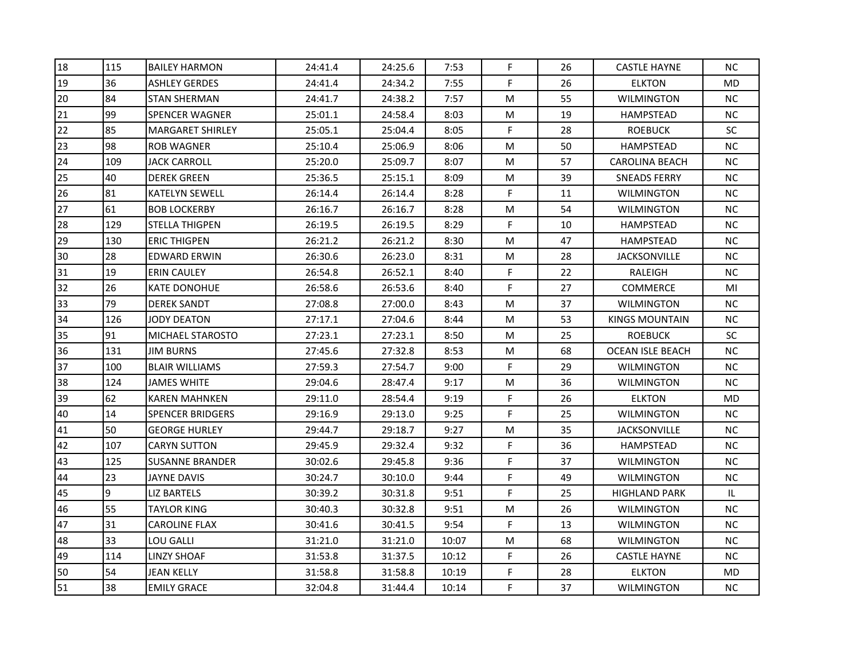| 18 | 115 | <b>BAILEY HARMON</b>    | 24:41.4 | 24:25.6 | 7:53  | F  | 26 | <b>CASTLE HAYNE</b>     | <b>NC</b> |
|----|-----|-------------------------|---------|---------|-------|----|----|-------------------------|-----------|
| 19 | 36  | <b>ASHLEY GERDES</b>    | 24:41.4 | 24:34.2 | 7:55  | F  | 26 | <b>ELKTON</b>           | <b>MD</b> |
| 20 | 84  | <b>STAN SHERMAN</b>     | 24:41.7 | 24:38.2 | 7:57  | М  | 55 | <b>WILMINGTON</b>       | <b>NC</b> |
| 21 | 99  | <b>SPENCER WAGNER</b>   | 25:01.1 | 24:58.4 | 8:03  | М  | 19 | HAMPSTEAD               | <b>NC</b> |
| 22 | 85  | MARGARET SHIRLEY        | 25:05.1 | 25:04.4 | 8:05  | F  | 28 | <b>ROEBUCK</b>          | SC        |
| 23 | 98  | <b>ROB WAGNER</b>       | 25:10.4 | 25:06.9 | 8:06  | М  | 50 | <b>HAMPSTEAD</b>        | <b>NC</b> |
| 24 | 109 | JACK CARROLL            | 25:20.0 | 25:09.7 | 8:07  | M  | 57 | <b>CAROLINA BEACH</b>   | NC        |
| 25 | 40  | DEREK GREEN             | 25:36.5 | 25:15.1 | 8:09  | М  | 39 | SNEADS FERRY            | NC        |
| 26 | 81  | <b>KATELYN SEWELL</b>   | 26:14.4 | 26:14.4 | 8:28  | F  | 11 | <b>WILMINGTON</b>       | NC        |
| 27 | 61  | <b>BOB LOCKERBY</b>     | 26:16.7 | 26:16.7 | 8:28  | M  | 54 | <b>WILMINGTON</b>       | NC        |
| 28 | 129 | STELLA THIGPEN          | 26:19.5 | 26:19.5 | 8:29  | F  | 10 | HAMPSTEAD               | NC.       |
| 29 | 130 | <b>ERIC THIGPEN</b>     | 26:21.2 | 26:21.2 | 8:30  | М  | 47 | <b>HAMPSTEAD</b>        | NC        |
| 30 | 28  | EDWARD ERWIN            | 26:30.6 | 26:23.0 | 8:31  | М  | 28 | <b>JACKSONVILLE</b>     | <b>NC</b> |
| 31 | 19  | ERIN CAULEY             | 26:54.8 | 26:52.1 | 8:40  | F  | 22 | RALEIGH                 | <b>NC</b> |
| 32 | 26  | KATE DONOHUE            | 26:58.6 | 26:53.6 | 8:40  | F  | 27 | <b>COMMERCE</b>         | MI        |
| 33 | 79  | DEREK SANDT             | 27:08.8 | 27:00.0 | 8:43  | М  | 37 | WILMINGTON              | <b>NC</b> |
| 34 | 126 | JODY DEATON             | 27:17.1 | 27:04.6 | 8:44  | М  | 53 | KINGS MOUNTAIN          | NC.       |
| 35 | 91  | MICHAEL STAROSTO        | 27:23.1 | 27:23.1 | 8:50  | M  | 25 | <b>ROEBUCK</b>          | SC        |
| 36 | 131 | <b>JIM BURNS</b>        | 27:45.6 | 27:32.8 | 8:53  | M  | 68 | <b>OCEAN ISLE BEACH</b> | NC        |
| 37 | 100 | <b>BLAIR WILLIAMS</b>   | 27:59.3 | 27:54.7 | 9:00  | F. | 29 | <b>WILMINGTON</b>       | <b>NC</b> |
| 38 | 124 | JAMES WHITE             | 29:04.6 | 28:47.4 | 9:17  | М  | 36 | <b>WILMINGTON</b>       | NC        |
| 39 | 62  | <b>KAREN MAHNKEN</b>    | 29:11.0 | 28:54.4 | 9:19  | F  | 26 | <b>ELKTON</b>           | <b>MD</b> |
| 40 | 14  | <b>SPENCER BRIDGERS</b> | 29:16.9 | 29:13.0 | 9:25  | F  | 25 | <b>WILMINGTON</b>       | <b>NC</b> |
| 41 | 50  | <b>GEORGE HURLEY</b>    | 29:44.7 | 29:18.7 | 9:27  | М  | 35 | <b>JACKSONVILLE</b>     | <b>NC</b> |
| 42 | 107 | CARYN SUTTON            | 29:45.9 | 29:32.4 | 9:32  | F  | 36 | HAMPSTEAD               | <b>NC</b> |
| 43 | 125 | SUSANNE BRANDER         | 30:02.6 | 29:45.8 | 9:36  | F  | 37 | <b>WILMINGTON</b>       | NC        |
| 44 | 23  | JAYNE DAVIS             | 30:24.7 | 30:10.0 | 9:44  | F  | 49 | <b>WILMINGTON</b>       | <b>NC</b> |
| 45 | 9   | <b>LIZ BARTELS</b>      | 30:39.2 | 30:31.8 | 9:51  | F  | 25 | <b>HIGHLAND PARK</b>    | IL.       |
| 46 | 55  | TAYLOR KING             | 30:40.3 | 30:32.8 | 9:51  | M  | 26 | <b>WILMINGTON</b>       | <b>NC</b> |
| 47 | 31  | <b>CAROLINE FLAX</b>    | 30:41.6 | 30:41.5 | 9:54  | F  | 13 | <b>WILMINGTON</b>       | NC        |
| 48 | 33  | LOU GALLI               | 31:21.0 | 31:21.0 | 10:07 | M  | 68 | WILMINGTON              | $NC$      |
| 49 | 114 | LINZY SHOAF             | 31:53.8 | 31:37.5 | 10:12 | F  | 26 | <b>CASTLE HAYNE</b>     | NC.       |
| 50 | 54  | JEAN KELLY              | 31:58.8 | 31:58.8 | 10:19 | F  | 28 | <b>ELKTON</b>           | <b>MD</b> |
| 51 | 38  | <b>EMILY GRACE</b>      | 32:04.8 | 31:44.4 | 10:14 | F  | 37 | <b>WILMINGTON</b>       | NC.       |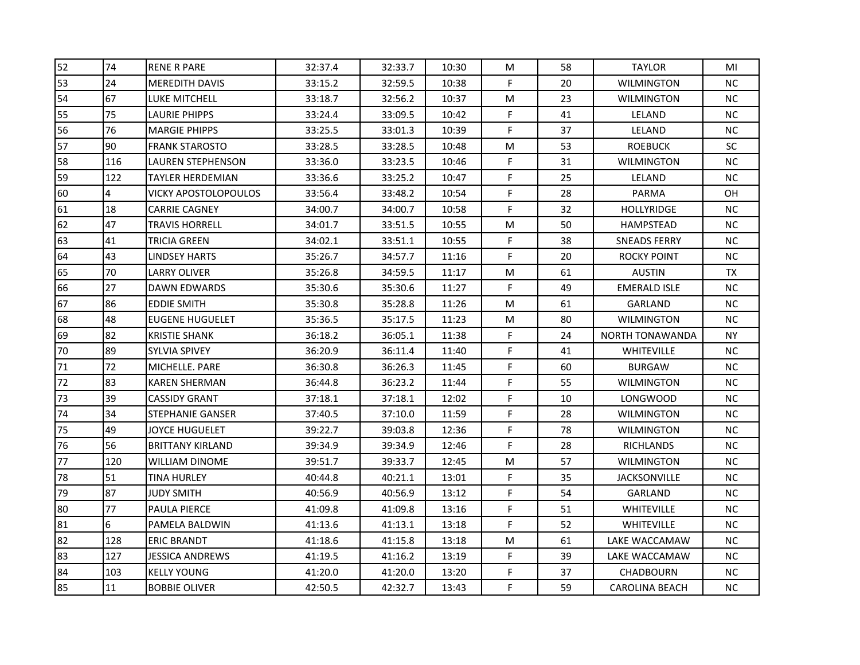| 52 | 74             | <b>RENE R PARE</b>      | 32:37.4 | 32:33.7 | 10:30 | М  | 58 | <b>TAYLOR</b>          | MI        |
|----|----------------|-------------------------|---------|---------|-------|----|----|------------------------|-----------|
| 53 | 24             | <b>MEREDITH DAVIS</b>   | 33:15.2 | 32:59.5 | 10:38 | F. | 20 | <b>WILMINGTON</b>      | <b>NC</b> |
| 54 | 67             | LUKE MITCHELL           | 33:18.7 | 32:56.2 | 10:37 | М  | 23 | <b>WILMINGTON</b>      | <b>NC</b> |
| 55 | 75             | LAURIE PHIPPS           | 33:24.4 | 33:09.5 | 10:42 | F  | 41 | LELAND                 | <b>NC</b> |
| 56 | 76             | MARGIE PHIPPS           | 33:25.5 | 33:01.3 | 10:39 | F  | 37 | LELAND                 | NC        |
| 57 | 90             | FRANK STAROSTO          | 33:28.5 | 33:28.5 | 10:48 | М  | 53 | <b>ROEBUCK</b>         | SC        |
| 58 | 116            | LAUREN STEPHENSON       | 33:36.0 | 33:23.5 | 10:46 | F  | 31 | <b>WILMINGTON</b>      | NC        |
| 59 | 122            | TAYLER HERDEMIAN        | 33:36.6 | 33:25.2 | 10:47 | F. | 25 | LELAND                 | NC        |
| 60 | $\overline{4}$ | VICKY APOSTOLOPOULOS    | 33:56.4 | 33:48.2 | 10:54 | F. | 28 | PARMA                  | <b>OH</b> |
| 61 | 18             | CARRIE CAGNEY           | 34:00.7 | 34:00.7 | 10:58 | F  | 32 | <b>HOLLYRIDGE</b>      | NC        |
| 62 | 47             | TRAVIS HORRELL          | 34:01.7 | 33:51.5 | 10:55 | М  | 50 | <b>HAMPSTEAD</b>       | NC.       |
| 63 | 41             | TRICIA GREEN            | 34:02.1 | 33:51.1 | 10:55 | F  | 38 | SNEADS FERRY           | NC        |
| 64 | 43             | <b>LINDSEY HARTS</b>    | 35:26.7 | 34:57.7 | 11:16 | F. | 20 | <b>ROCKY POINT</b>     | NC        |
| 65 | 70             | LARRY OLIVER            | 35:26.8 | 34:59.5 | 11:17 | М  | 61 | <b>AUSTIN</b>          | TX        |
| 66 | 27             | DAWN EDWARDS            | 35:30.6 | 35:30.6 | 11:27 | F  | 49 | <b>EMERALD ISLE</b>    | <b>NC</b> |
| 67 | 86             | EDDIE SMITH             | 35:30.8 | 35:28.8 | 11:26 | М  | 61 | <b>GARLAND</b>         | NC.       |
| 68 | 48             | <b>EUGENE HUGUELET</b>  | 35:36.5 | 35:17.5 | 11:23 | М  | 80 | WILMINGTON             | NC.       |
| 69 | 82             | <b>KRISTIE SHANK</b>    | 36:18.2 | 36:05.1 | 11:38 | F  | 24 | <b>NORTH TONAWANDA</b> | NY.       |
| 70 | 89             | <b>SYLVIA SPIVEY</b>    | 36:20.9 | 36:11.4 | 11:40 | F  | 41 | <b>WHITEVILLE</b>      | <b>NC</b> |
| 71 | 72             | MICHELLE. PARE          | 36:30.8 | 36:26.3 | 11:45 | F  | 60 | <b>BURGAW</b>          | NC        |
| 72 | 83             | KAREN SHERMAN           | 36:44.8 | 36:23.2 | 11:44 | F. | 55 | <b>WILMINGTON</b>      | NC.       |
| 73 | 39             | CASSIDY GRANT           | 37:18.1 | 37:18.1 | 12:02 | F  | 10 | <b>LONGWOOD</b>        | NC        |
| 74 | 34             | STEPHANIE GANSER        | 37:40.5 | 37:10.0 | 11:59 | F  | 28 | <b>WILMINGTON</b>      | NC        |
| 75 | 49             | JOYCE HUGUELET          | 39:22.7 | 39:03.8 | 12:36 | F  | 78 | <b>WILMINGTON</b>      | <b>NC</b> |
| 76 | 56             | <b>BRITTANY KIRLAND</b> | 39:34.9 | 39:34.9 | 12:46 | F  | 28 | <b>RICHLANDS</b>       | <b>NC</b> |
| 77 | 120            | WILLIAM DINOME          | 39:51.7 | 39:33.7 | 12:45 | M  | 57 | <b>WILMINGTON</b>      | NC        |
| 78 | 51             | TINA HURLEY             | 40:44.8 | 40:21.1 | 13:01 | F. | 35 | <b>JACKSONVILLE</b>    | NC.       |
| 79 | 87             | JUDY SMITH              | 40:56.9 | 40:56.9 | 13:12 | F  | 54 | GARLAND                | NC        |
| 80 | 77             | PAULA PIERCE            | 41:09.8 | 41:09.8 | 13:16 | F  | 51 | <b>WHITEVILLE</b>      | NC        |
| 81 | 6              | PAMELA BALDWIN          | 41:13.6 | 41:13.1 | 13:18 | F  | 52 | <b>WHITEVILLE</b>      | NC        |
| 82 | 128            | ERIC BRANDT             | 41:18.6 | 41:15.8 | 13:18 | М  | 61 | LAKE WACCAMAW          | <b>NC</b> |
| 83 | 127            | JESSICA ANDREWS         | 41:19.5 | 41:16.2 | 13:19 | F. | 39 | LAKE WACCAMAW          | NC.       |
| 84 | 103            | <b>KELLY YOUNG</b>      | 41:20.0 | 41:20.0 | 13:20 | F  | 37 | <b>CHADBOURN</b>       | <b>NC</b> |
| 85 | 11             | <b>BOBBIE OLIVER</b>    | 42:50.5 | 42:32.7 | 13:43 | F  | 59 | <b>CAROLINA BEACH</b>  | NC        |
|    |                |                         |         |         |       |    |    |                        |           |